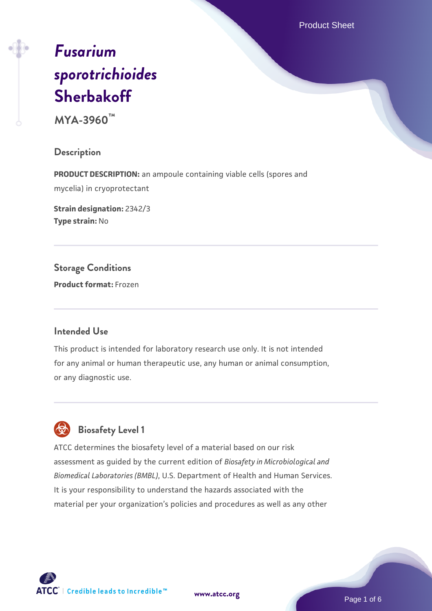Product Sheet

# *[Fusarium](https://www.atcc.org/products/mya-3960) [sporotrichioides](https://www.atcc.org/products/mya-3960)* **[Sherbakoff](https://www.atcc.org/products/mya-3960)**

**MYA-3960™**

**Description**

**PRODUCT DESCRIPTION:** an ampoule containing viable cells (spores and mycelia) in cryoprotectant

**Strain designation:** 2342/3 **Type strain:** No

**Storage Conditions Product format:** Frozen

# **Intended Use**

This product is intended for laboratory research use only. It is not intended for any animal or human therapeutic use, any human or animal consumption, or any diagnostic use.



# **Biosafety Level 1**

ATCC determines the biosafety level of a material based on our risk assessment as guided by the current edition of *Biosafety in Microbiological and Biomedical Laboratories (BMBL)*, U.S. Department of Health and Human Services. It is your responsibility to understand the hazards associated with the material per your organization's policies and procedures as well as any other

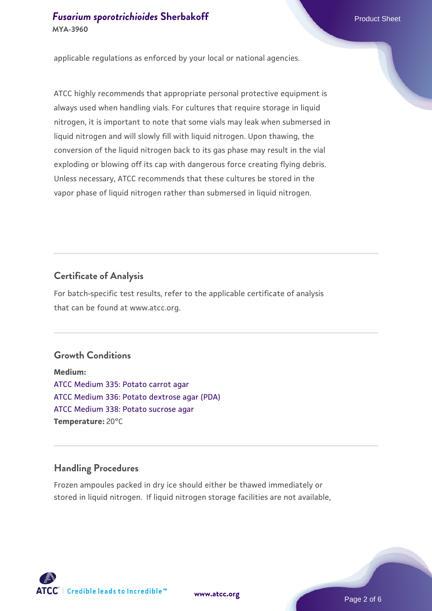applicable regulations as enforced by your local or national agencies.

ATCC highly recommends that appropriate personal protective equipment is always used when handling vials. For cultures that require storage in liquid nitrogen, it is important to note that some vials may leak when submersed in liquid nitrogen and will slowly fill with liquid nitrogen. Upon thawing, the conversion of the liquid nitrogen back to its gas phase may result in the vial exploding or blowing off its cap with dangerous force creating flying debris. Unless necessary, ATCC recommends that these cultures be stored in the vapor phase of liquid nitrogen rather than submersed in liquid nitrogen.

# **Certificate of Analysis**

For batch-specific test results, refer to the applicable certificate of analysis that can be found at www.atcc.org.

# **Growth Conditions**

**Medium:**  [ATCC Medium 335: Potato carrot agar](https://www.atcc.org/-/media/product-assets/documents/microbial-media-formulations/3/3/5/atcc-medium-335.pdf?rev=a7055ab8b3c54646a9d0bdf7b34c1606) [ATCC Medium 336: Potato dextrose agar \(PDA\)](https://www.atcc.org/-/media/product-assets/documents/microbial-media-formulations/3/3/6/atcc-medium-336.pdf?rev=d9160ad44d934cd8b65175461abbf3b9) [ATCC Medium 338: Potato sucrose agar](https://www.atcc.org/-/media/product-assets/documents/microbial-media-formulations/3/3/8/atcc-medium-338.pdf?rev=46546b6f4a85482b856b30458c18db73) **Temperature:** 20°C

# **Handling Procedures**

Frozen ampoules packed in dry ice should either be thawed immediately or stored in liquid nitrogen. If liquid nitrogen storage facilities are not available,

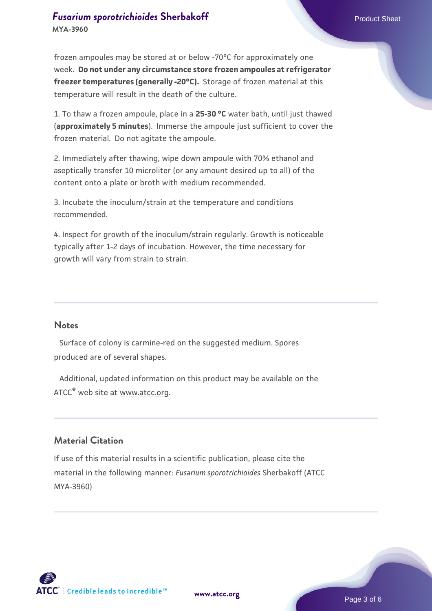# **[Fusarium sporotrichioides](https://www.atcc.org/products/mya-3960) [Sherbakoff](https://www.atcc.org/products/mya-3960)** Product Sheet **MYA-3960**

frozen ampoules may be stored at or below -70°C for approximately one week. **Do not under any circumstance store frozen ampoules at refrigerator freezer temperatures (generally -20°C).** Storage of frozen material at this temperature will result in the death of the culture.

1. To thaw a frozen ampoule, place in a **25-30 °C** water bath, until just thawed (**approximately 5 minutes**). Immerse the ampoule just sufficient to cover the frozen material. Do not agitate the ampoule.

2. Immediately after thawing, wipe down ampoule with 70% ethanol and aseptically transfer 10 microliter (or any amount desired up to all) of the content onto a plate or broth with medium recommended.

3. Incubate the inoculum/strain at the temperature and conditions recommended.

4. Inspect for growth of the inoculum/strain regularly. Growth is noticeable typically after 1-2 days of incubation. However, the time necessary for growth will vary from strain to strain.

#### **Notes**

 Surface of colony is carmine-red on the suggested medium. Spores produced are of several shapes.

 Additional, updated information on this product may be available on the ATCC® web site at www.atcc.org.

# **Material Citation**

If use of this material results in a scientific publication, please cite the material in the following manner: *Fusarium sporotrichioides* Sherbakoff (ATCC MYA-3960)

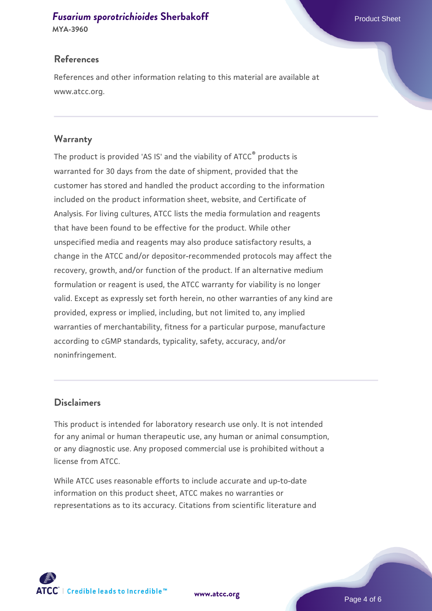# **[Fusarium sporotrichioides](https://www.atcc.org/products/mya-3960) [Sherbakoff](https://www.atcc.org/products/mya-3960)** Product Sheet

**MYA-3960**

# **References**

References and other information relating to this material are available at www.atcc.org.

# **Warranty**

The product is provided 'AS IS' and the viability of ATCC® products is warranted for 30 days from the date of shipment, provided that the customer has stored and handled the product according to the information included on the product information sheet, website, and Certificate of Analysis. For living cultures, ATCC lists the media formulation and reagents that have been found to be effective for the product. While other unspecified media and reagents may also produce satisfactory results, a change in the ATCC and/or depositor-recommended protocols may affect the recovery, growth, and/or function of the product. If an alternative medium formulation or reagent is used, the ATCC warranty for viability is no longer valid. Except as expressly set forth herein, no other warranties of any kind are provided, express or implied, including, but not limited to, any implied warranties of merchantability, fitness for a particular purpose, manufacture according to cGMP standards, typicality, safety, accuracy, and/or noninfringement.

# **Disclaimers**

This product is intended for laboratory research use only. It is not intended for any animal or human therapeutic use, any human or animal consumption, or any diagnostic use. Any proposed commercial use is prohibited without a license from ATCC.

While ATCC uses reasonable efforts to include accurate and up-to-date information on this product sheet, ATCC makes no warranties or representations as to its accuracy. Citations from scientific literature and



**[www.atcc.org](http://www.atcc.org)**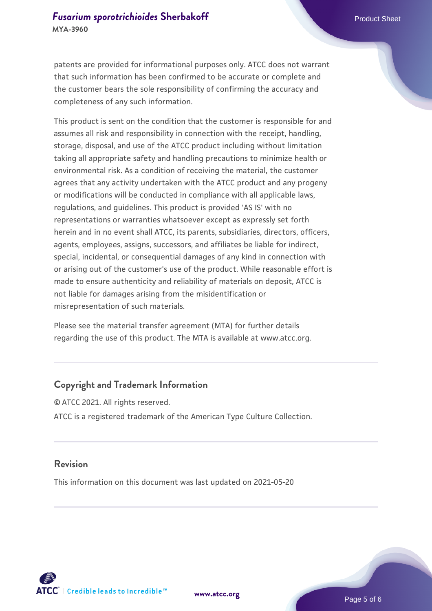patents are provided for informational purposes only. ATCC does not warrant that such information has been confirmed to be accurate or complete and the customer bears the sole responsibility of confirming the accuracy and completeness of any such information.

This product is sent on the condition that the customer is responsible for and assumes all risk and responsibility in connection with the receipt, handling, storage, disposal, and use of the ATCC product including without limitation taking all appropriate safety and handling precautions to minimize health or environmental risk. As a condition of receiving the material, the customer agrees that any activity undertaken with the ATCC product and any progeny or modifications will be conducted in compliance with all applicable laws, regulations, and guidelines. This product is provided 'AS IS' with no representations or warranties whatsoever except as expressly set forth herein and in no event shall ATCC, its parents, subsidiaries, directors, officers, agents, employees, assigns, successors, and affiliates be liable for indirect, special, incidental, or consequential damages of any kind in connection with or arising out of the customer's use of the product. While reasonable effort is made to ensure authenticity and reliability of materials on deposit, ATCC is not liable for damages arising from the misidentification or misrepresentation of such materials.

Please see the material transfer agreement (MTA) for further details regarding the use of this product. The MTA is available at www.atcc.org.

# **Copyright and Trademark Information**

© ATCC 2021. All rights reserved. ATCC is a registered trademark of the American Type Culture Collection.

### **Revision**

This information on this document was last updated on 2021-05-20